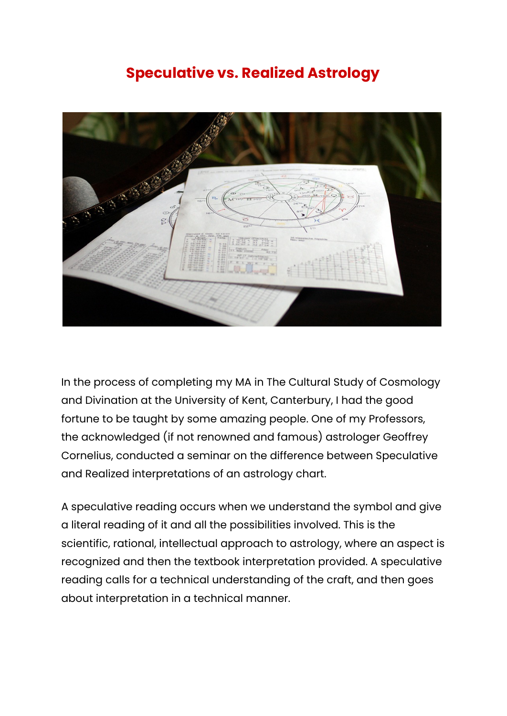## **Speculative vs. Realized Astrology**



In the process of completing my MA in The Cultural Study of Cosmology and Divination at the University of Kent, Canterbury, I had the good fortune to be taught by some amazing people. One of my Professors, the acknowledged (if not renowned and famous) astrologer Geoffrey Cornelius, conducted a seminar on the difference between Speculative and Realized interpretations of an astrology chart.

A speculative reading occurs when we understand the symbol and give a literal reading of it and all the possibilities involved. This is the scientific, rational, intellectual approach to astrology, where an aspect is recognized and then the textbook interpretation provided. A speculative reading calls for a technical understanding of the craft, and then goes about interpretation in a technical manner.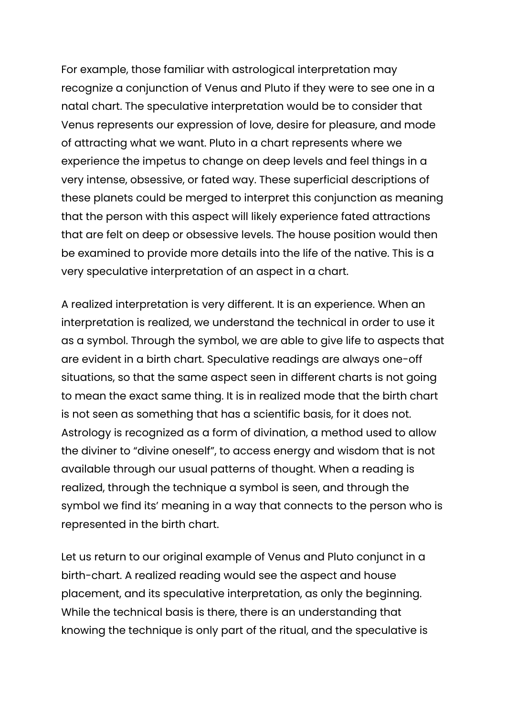For example, those familiar with astrological interpretation may recognize a conjunction of Venus and Pluto if they were to see one in a natal chart. The speculative interpretation would be to consider that Venus represents our expression of love, desire for pleasure, and mode of attracting what we want. Pluto in a chart represents where we experience the impetus to change on deep levels and feel things in a very intense, obsessive, or fated way. These superficial descriptions of these planets could be merged to interpret this conjunction as meaning that the person with this aspect will likely experience fated attractions that are felt on deep or obsessive levels. The house position would then be examined to provide more details into the life of the native. This is a very speculative interpretation of an aspect in a chart.

A realized interpretation is very different. It is an experience. When an interpretation is realized, we understand the technical in order to use it as a symbol. Through the symbol, we are able to give life to aspects that are evident in a birth chart. Speculative readings are always one-off situations, so that the same aspect seen in different charts is not going to mean the exact same thing. It is in realized mode that the birth chart is not seen as something that has a scientific basis, for it does not. Astrology is recognized as a form of divination, a method used to allow the diviner to "divine oneself", to access energy and wisdom that is not available through our usual patterns of thought. When a reading is realized, through the technique a symbol is seen, and through the symbol we find its' meaning in a way that connects to the person who is represented in the birth chart.

Let us return to our original example of Venus and Pluto conjunct in a birth-chart. A realized reading would see the aspect and house placement, and its speculative interpretation, as only the beginning. While the technical basis is there, there is an understanding that knowing the technique is only part of the ritual, and the speculative is